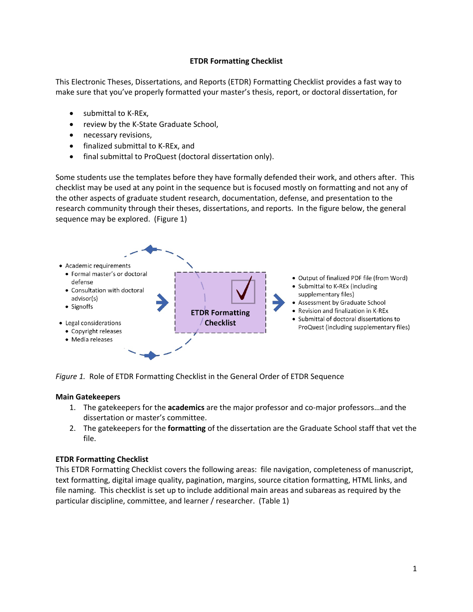## **ETDR Formatting Checklist**

This Electronic Theses, Dissertations, and Reports (ETDR) Formatting Checklist provides a fast way to make sure that you've properly formatted your master's thesis, report, or doctoral dissertation, for

- submittal to K-REx,
- review by the K-State Graduate School,
- necessary revisions,
- finalized submittal to K-REx, and
- final submittal to ProQuest (doctoral dissertation only).

Some students use the templates before they have formally defended their work, and others after. This checklist may be used at any point in the sequence but is focused mostly on formatting and not any of the other aspects of graduate student research, documentation, defense, and presentation to the research community through their theses, dissertations, and reports. In the figure below, the general sequence may be explored. (Figure 1)



*Figure 1.* Role of ETDR Formatting Checklist in the General Order of ETDR Sequence

## **Main Gatekeepers**

- 1. The gatekeepers for the **academics** are the major professor and co-major professors…and the dissertation or master's committee.
- 2. The gatekeepers for the **formatting** of the dissertation are the Graduate School staff that vet the file.

## **ETDR Formatting Checklist**

This ETDR Formatting Checklist covers the following areas: file navigation, completeness of manuscript, text formatting, digital image quality, pagination, margins, source citation formatting, HTML links, and file naming. This checklist is set up to include additional main areas and subareas as required by the particular discipline, committee, and learner / researcher. (Table 1)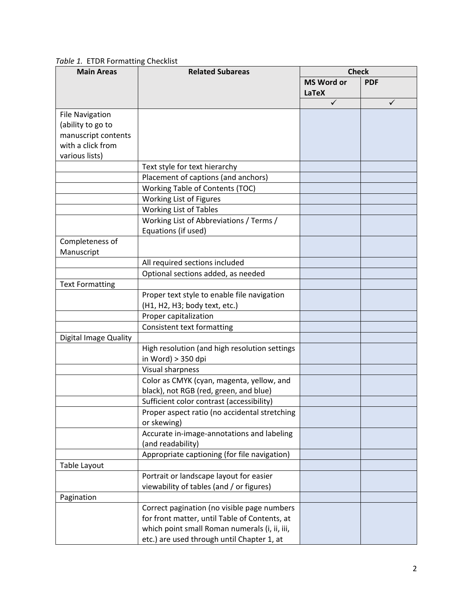*Table 1.* ETDR Formatting Checklist

| <b>Main Areas</b>            | <b>Related Subareas</b>                       | <b>Check</b>      |            |
|------------------------------|-----------------------------------------------|-------------------|------------|
|                              |                                               | <b>MS Word or</b> | <b>PDF</b> |
|                              |                                               | <b>LaTeX</b>      |            |
|                              |                                               | ✓                 |            |
| <b>File Navigation</b>       |                                               |                   |            |
| (ability to go to            |                                               |                   |            |
| manuscript contents          |                                               |                   |            |
| with a click from            |                                               |                   |            |
| various lists)               |                                               |                   |            |
|                              | Text style for text hierarchy                 |                   |            |
|                              | Placement of captions (and anchors)           |                   |            |
|                              | <b>Working Table of Contents (TOC)</b>        |                   |            |
|                              | Working List of Figures                       |                   |            |
|                              | <b>Working List of Tables</b>                 |                   |            |
|                              | Working List of Abbreviations / Terms /       |                   |            |
|                              | Equations (if used)                           |                   |            |
| Completeness of              |                                               |                   |            |
| Manuscript                   |                                               |                   |            |
|                              | All required sections included                |                   |            |
|                              | Optional sections added, as needed            |                   |            |
| <b>Text Formatting</b>       |                                               |                   |            |
|                              | Proper text style to enable file navigation   |                   |            |
|                              | (H1, H2, H3; body text, etc.)                 |                   |            |
|                              | Proper capitalization                         |                   |            |
|                              | <b>Consistent text formatting</b>             |                   |            |
| <b>Digital Image Quality</b> |                                               |                   |            |
|                              | High resolution (and high resolution settings |                   |            |
|                              | in Word) > 350 dpi                            |                   |            |
|                              | Visual sharpness                              |                   |            |
|                              | Color as CMYK (cyan, magenta, yellow, and     |                   |            |
|                              | black), not RGB (red, green, and blue)        |                   |            |
|                              | Sufficient color contrast (accessibility)     |                   |            |
|                              | Proper aspect ratio (no accidental stretching |                   |            |
|                              | or skewing)                                   |                   |            |
|                              | Accurate in-image-annotations and labeling    |                   |            |
|                              | (and readability)                             |                   |            |
|                              | Appropriate captioning (for file navigation)  |                   |            |
| Table Layout                 |                                               |                   |            |
|                              | Portrait or landscape layout for easier       |                   |            |
|                              | viewability of tables (and / or figures)      |                   |            |
| Pagination                   |                                               |                   |            |
|                              | Correct pagination (no visible page numbers   |                   |            |
|                              | for front matter, until Table of Contents, at |                   |            |
|                              | which point small Roman numerals (i, ii, iii, |                   |            |
|                              | etc.) are used through until Chapter 1, at    |                   |            |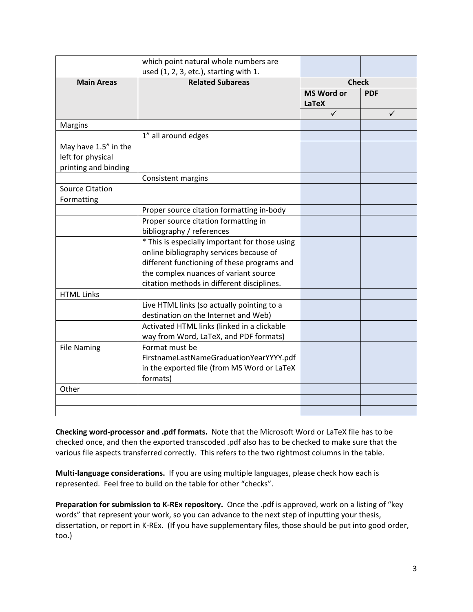|                        | which point natural whole numbers are<br>used (1, 2, 3, etc.), starting with 1. |                                 |   |
|------------------------|---------------------------------------------------------------------------------|---------------------------------|---|
| <b>Main Areas</b>      | <b>Related Subareas</b>                                                         | <b>Check</b>                    |   |
|                        |                                                                                 | <b>MS Word or</b><br><b>PDF</b> |   |
|                        |                                                                                 | <b>LaTeX</b>                    |   |
|                        |                                                                                 | $\checkmark$                    | ✓ |
| <b>Margins</b>         |                                                                                 |                                 |   |
|                        | 1" all around edges                                                             |                                 |   |
| May have 1.5" in the   |                                                                                 |                                 |   |
| left for physical      |                                                                                 |                                 |   |
| printing and binding   |                                                                                 |                                 |   |
|                        | Consistent margins                                                              |                                 |   |
| <b>Source Citation</b> |                                                                                 |                                 |   |
| Formatting             |                                                                                 |                                 |   |
|                        | Proper source citation formatting in-body                                       |                                 |   |
|                        | Proper source citation formatting in                                            |                                 |   |
|                        | bibliography / references                                                       |                                 |   |
|                        | * This is especially important for those using                                  |                                 |   |
|                        | online bibliography services because of                                         |                                 |   |
|                        | different functioning of these programs and                                     |                                 |   |
|                        | the complex nuances of variant source                                           |                                 |   |
|                        | citation methods in different disciplines.                                      |                                 |   |
| <b>HTML Links</b>      |                                                                                 |                                 |   |
|                        | Live HTML links (so actually pointing to a                                      |                                 |   |
|                        | destination on the Internet and Web)                                            |                                 |   |
|                        | Activated HTML links (linked in a clickable                                     |                                 |   |
|                        | way from Word, LaTeX, and PDF formats)                                          |                                 |   |
| <b>File Naming</b>     | Format must be                                                                  |                                 |   |
|                        | FirstnameLastNameGraduationYearYYYY.pdf                                         |                                 |   |
|                        | in the exported file (from MS Word or LaTeX                                     |                                 |   |
|                        | formats)                                                                        |                                 |   |
| Other                  |                                                                                 |                                 |   |
|                        |                                                                                 |                                 |   |
|                        |                                                                                 |                                 |   |

**Checking word-processor and .pdf formats.** Note that the Microsoft Word or LaTeX file has to be checked once, and then the exported transcoded .pdf also has to be checked to make sure that the various file aspects transferred correctly. This refers to the two rightmost columns in the table.

**Multi-language considerations.** If you are using multiple languages, please check how each is represented. Feel free to build on the table for other "checks".

**Preparation for submission to K-REx repository.** Once the .pdf is approved, work on a listing of "key words" that represent your work, so you can advance to the next step of inputting your thesis, dissertation, or report in K-REx. (If you have supplementary files, those should be put into good order, too.)